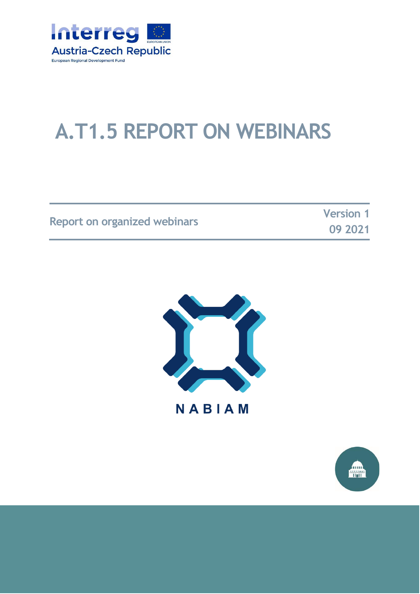

# **A.T1.5 REPORT ON WEBINARS**

|                                     | <b>Version 1</b> |
|-------------------------------------|------------------|
| <b>Report on organized webinars</b> | 09 2021          |

**09 2021**



**NABIAM** 

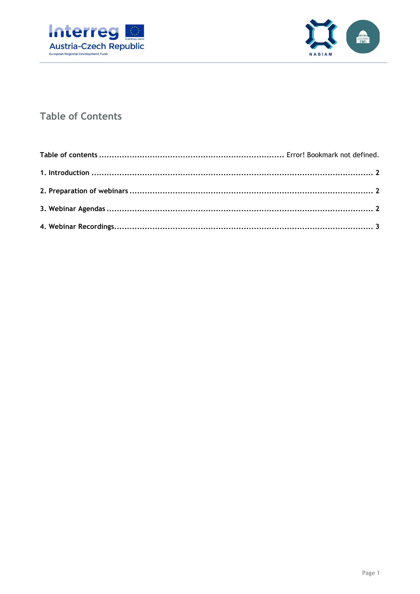



#### **Table of Contents**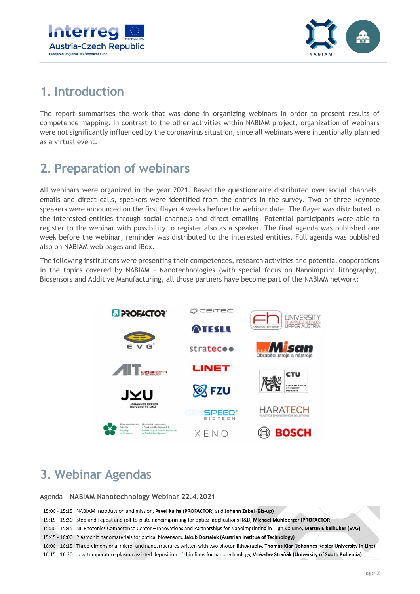



## <span id="page-2-0"></span>**1. Introduction**

The report summarises the work that was done in organizing webinars in order to present results of competence mapping. In contrast to the other activities within NABIAM project, organization of webinars were not significantly influenced by the coronavirus situation, since all webinars were intentionally planned as a virtual event.

## <span id="page-2-1"></span>**2. Preparation of webinars**

All webinars were organized in the year 2021. Based the questionnaire distributed over social channels, emails and direct calls, speakers were identified from the entries in the survey. Two or three keynote speakers were announced on the first flayer 4 weeks before the webinar date. The flayer was distributed to the interested entities through social channels and direct emailing. Potential participants were able to register to the webinar with possibility to register also as a speaker. The final agenda was published one week before the webinar, reminder was distributed to the interested entities. Full agenda was published also on NABIAM web pages and iBox.

The following institutions were presenting their competences, research activities and potential cooperations in the topics covered by NABIAM – Nanotechnologies (with special focus on Nanoimprint lithography), Biosensors and Additive Manufacturing, all those partners have become part of the NABIAM network:



## <span id="page-2-2"></span>**3. Webinar Agendas**

Agenda - **NABIAM Nanotechnology Webinar 22.4.2021**

15:00 - 15:15 NABIAM introduction and mission, Pavel Kulha (PROFACTOR) and Johann Zabel (Biz-up)

15:15 - 15:30 Step-and-repeat and roll-to-plate nanoimprinting for optical applications R&D, Michael Mühlberger (PROFACTOR)

- 15:30 15:45 NILPhotonics Competence Center Innovations and Partnerships for Nanoimprinting in High Volume, Martin Eibelhuber (EVG)
- 15:45 16:00 Plasmonic nanomaterials for optical biosensors, Jakub Dostalek (Austrian Institue of Technology)
- 16:00 16:15 Three-dimensional micro- and nanostructures written with two photon lithography, Thomas Klar (Johannes Kepler University in Linz)
- 16:15 16:30 Low-temperature plasma assisted deposition of thin films for nanotechnology, Vítězslav Straňák (University of South Bohemia)